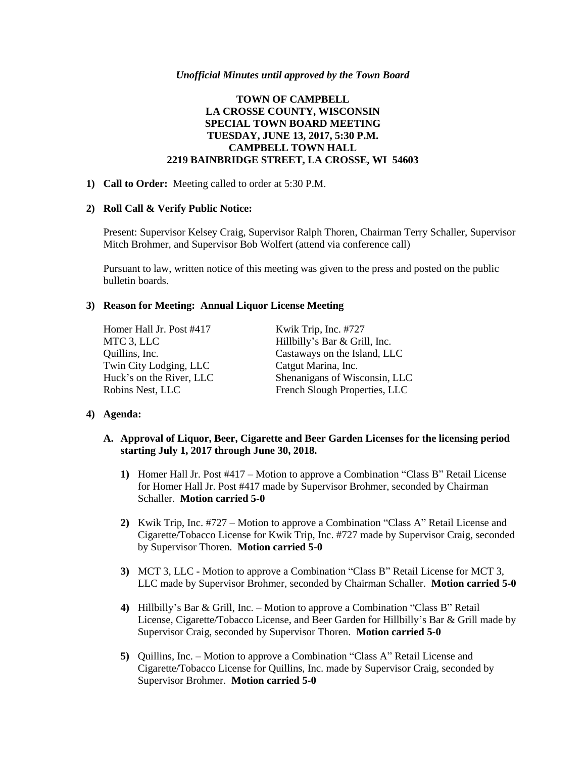#### *Unofficial Minutes until approved by the Town Board*

# **TOWN OF CAMPBELL LA CROSSE COUNTY, WISCONSIN SPECIAL TOWN BOARD MEETING TUESDAY, JUNE 13, 2017, 5:30 P.M. CAMPBELL TOWN HALL 2219 BAINBRIDGE STREET, LA CROSSE, WI 54603**

### **1) Call to Order:** Meeting called to order at 5:30 P.M.

#### **2) Roll Call & Verify Public Notice:**

Present: Supervisor Kelsey Craig, Supervisor Ralph Thoren, Chairman Terry Schaller, Supervisor Mitch Brohmer, and Supervisor Bob Wolfert (attend via conference call)

Pursuant to law, written notice of this meeting was given to the press and posted on the public bulletin boards.

### **3) Reason for Meeting: Annual Liquor License Meeting**

Homer Hall Jr. Post #417 Kwik Trip, Inc. #727 Twin City Lodging, LLC Catgut Marina, Inc.

MTC 3, LLC Hillbilly's Bar & Grill, Inc. Quillins, Inc. Castaways on the Island, LLC Huck's on the River, LLC Shenanigans of Wisconsin, LLC Robins Nest, LLC French Slough Properties, LLC

### **4) Agenda:**

### **A. Approval of Liquor, Beer, Cigarette and Beer Garden Licenses for the licensing period starting July 1, 2017 through June 30, 2018.**

- **1)** Homer Hall Jr. Post #417 Motion to approve a Combination "Class B" Retail License for Homer Hall Jr. Post #417 made by Supervisor Brohmer, seconded by Chairman Schaller. **Motion carried 5-0**
- **2)** Kwik Trip, Inc. #727 Motion to approve a Combination "Class A" Retail License and Cigarette/Tobacco License for Kwik Trip, Inc. #727 made by Supervisor Craig, seconded by Supervisor Thoren. **Motion carried 5-0**
- **3)** MCT 3, LLC Motion to approve a Combination "Class B" Retail License for MCT 3, LLC made by Supervisor Brohmer, seconded by Chairman Schaller. **Motion carried 5-0**
- **4)** Hillbilly's Bar & Grill, Inc. Motion to approve a Combination "Class B" Retail License, Cigarette/Tobacco License, and Beer Garden for Hillbilly's Bar & Grill made by Supervisor Craig, seconded by Supervisor Thoren. **Motion carried 5-0**
- **5)** Quillins, Inc. Motion to approve a Combination "Class A" Retail License and Cigarette/Tobacco License for Quillins, Inc. made by Supervisor Craig, seconded by Supervisor Brohmer. **Motion carried 5-0**